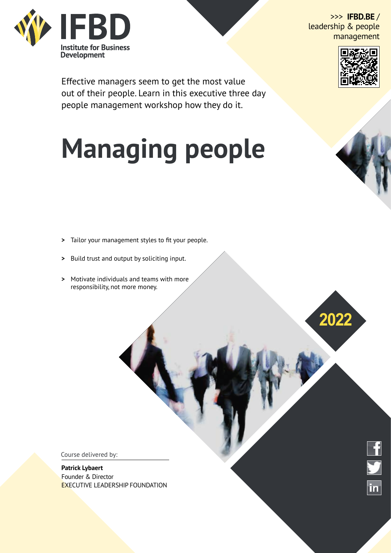

>>> **IFBD.BE** / leadership & people management

**2022**



Effective managers seem to get the most value out of their people. Learn in this executive three day people management workshop how they do it.

# **Managing people**

- **>**  Tailor your management styles to fit your people.
- **>** Build trust and output by soliciting input.
- **>** Motivate individuals and teams with more responsibility, not more money.

Course delivered by:

#### **Patrick Lybaert**

Founder & Director EXECUTIVE LEADERSHIP FOUNDATION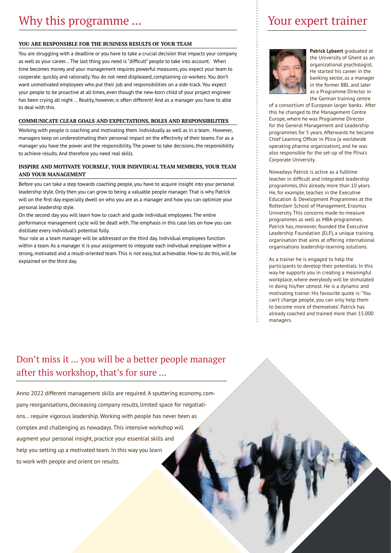#### **YOU ARE RESPONSIBLE FOR THE BUSINESS RESULTS OF YOUR TEAM**

You are struggling with a deadline or you have to take a crucial decision that impacts your company as well as your career…The last thing you need is "difficult" people to take into account. When time becomes money and your management requires powerful measures, you expect your team to cooperate: quickly and rationally. You do not need displeased, complaining co-workers. You don't want unmotivated employees who put their job and responsibilities on a side-track. You expect your people to be proactive at all times, even though the new-born child of your project engineer has been crying all night … Reality, however, is often different! And as a manager you have to able to deal with this.

#### **COMMUNICATE CLEAR GOALS AND EXPECTATIONS, ROLES AND RESPONSIBILITIES**

Working with people is coaching and motivating them. Individually as well as in a team. However, managers keep on underestimating their personal impact on the effectivity of their teams. For as a manager you have the power and the responsibility. The power to take decisions, the responsibility to achieve results. And therefore you need real skills.

#### **INSPIRE AND MOTIVATE YOURSELF, YOUR INDIVIDUAL TEAM MEMBERS, YOUR TEAM AND YOUR MANAGEMENT**

Before you can take a step towards coaching people, you have to acquire insight into your personal leadership style. Only then you can grow to being a valuable people manager. That is why Patrick will on the first day especially dwell on who you are as a manager and how you can optimize your personal leadership style.

On the second day you will learn how to coach and guide individual employees. The entire performance management cycle will be dealt with. The emphasis in this case lies on how you can distillate every individual's potential fully.

Your role as a team manager will be addressed on the third day. Individual employees function within a team. As a manager it is your assignment to integrate each individual employee within a strong, motivated and a result-oriented team. This is not easy, but achievable. How to do this, will be explained on the third day.

## Your expert trainer



**Patrick Lybaert** graduated at the University of Ghent as an organizational psychologist. He started his career in the banking sector, as a manager in the former BBL and later as a Programme Director in the German training centre

of a consortium of European larger banks. After this he changed to the Management Centre Europe, where he was Programme Director for the General Management and Leadership programmes for 5 years. Afterwards he became Chief Learning Officer in Pliva (a worldwide operating pharma organization), and he was also responsible for the set-up of the Pliva's Corporate University.

Nowadays Patrick is active as a fulltime teacher in difficult and integrated leadership programmes, this already more than 10 years. He, for example, teaches in the Executive Education & Development Programmes at the Rotterdam School of Management, Erasmus University. This concerns made-to-measure programmes as well as MBA-programmes. Patrick has, moreover, founded the Executive Leadership Foundation (ELF), a unique training organisation that aims at offering international organisations leadership-learning solutions.

As a trainer he is engaged to help the participants to develop their potentials. In this way he supports you in creating a meaningful workplace, where everybody will be stimulated in doing his/her utmost. He is a dynamic and motivating trainer. His favourite quote is: 'You can't change people, you can only help them to become more of themselves'. Patrick has already coached and trained more than 15.000 managers.

### Don't miss it ... you will be a better people manager after this workshop, that's for sure ...

Anno 2022 different management skills are required. A sputtering economy, company reorganisations, decreasing company results, limited space for negotiations… require vigorous leadership. Working with people has never been as complex and challenging as nowadays. This intensive workshop will augment your personal insight, practice your essential skills and help you setting up a motivated team. In this way you learn to work with people and orient on results.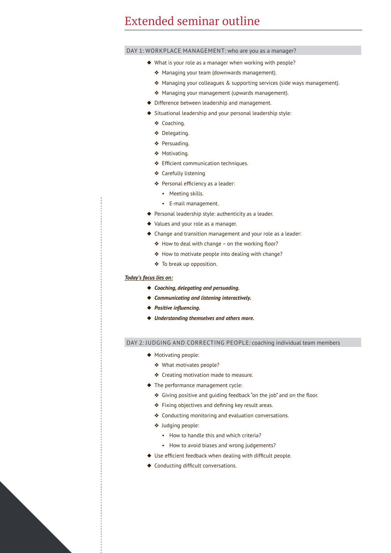## Extended seminar outline

DAY 1: WORKPLACE MANAGEMENT: who are you as a manager?

- ◆ What is your role as a manager when working with people?
	- ❖ Managing your team (downwards management).
	- ❖ Managing your colleagues & supporting services (side ways management).
	- ❖ Managing your management (upwards management).
- ◆ Difference between leadership and management.
- ◆ Situational leadership and your personal leadership style:
	- ❖ Coaching.
	- ❖ Delegating.
	- ❖ Persuading.
	- ❖ Motivating.
	- ❖ Efficient communication techniques.
	- ❖ Carefully listening
	- ❖ Personal efficiency as a leader:
		- Meeting skills.
		- E-mail management.
- ◆ Personal leadership style: authenticity as a leader.
- ◆ Values and your role as a manager.
- ◆ Change and transition management and your role as a leader:
	- ❖ How to deal with change on the working floor?
	- ❖ How to motivate people into dealing with change?
	- ❖ To break up opposition.

#### *Today's focus lies on:*

- ◆ *Coaching, delegating and persuading.*
- ◆ *Communicating and listening interactively.*
- ◆ *Positive influencing.*
- ◆ *Understanding themselves and others more.*

#### DAY 2: JUDGING AND CORRECTING PEOPLE: coaching individual team members

- ◆ Motivating people:
	- ❖ What motivates people?
	- ❖ Creating motivation made to measure.
- ◆ The performance management cycle:
	- ❖ Giving positive and guiding feedback "on the job" and on the floor.
	- ❖ Fixing objectives and defining key result areas.
	- ❖ Conducting monitoring and evaluation conversations.
	- ❖ Judging people:
		- How to handle this and which criteria?
		- How to avoid biases and wrong judgements?
- ◆ Use efficient feedback when dealing with difficult people.
- ◆ Conducting difficult conversations.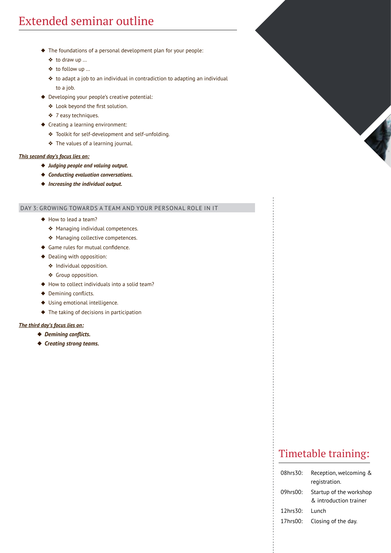## Extended seminar outline

- ◆ The foundations of a personal development plan for your people:
	- ❖ to draw up …
	- ❖ to follow up …
	- ❖ to adapt a job to an individual in contradiction to adapting an individual to a job.
- ◆ Developing your people's creative potential:
	- ❖ Look beyond the first solution.
	- ❖ 7 easy techniques.
- ◆ Creating a learning environment:
	- ❖ Toolkit for self-development and self-unfolding.
	- ❖ The values of a learning journal.

#### *This second day's focus lies on:*

- ◆ *Judging people and valuing output.*
- ◆ *Conducting evaluation conversations.*
- ◆ *Increasing the individual output.*

#### DAY 3: GROWING TOWARDS A TEAM AND YOUR PERSONAL ROLE IN IT

- ◆ How to lead a team?
	- ❖ Managing individual competences.
	- ❖ Managing collective competences.
- ◆ Game rules for mutual confidence.
- ◆ Dealing with opposition:
	- ❖ Individual opposition.
	- ❖ Group opposition.
- ◆ How to collect individuals into a solid team?
- ◆ Demining conflicts.
- ◆ Using emotional intelligence.
- ◆ The taking of decisions in participation

#### *The third day's focus lies on:*

- ◆ *Demining conflicts.*
- ◆ *Creating strong teams.*

## Timetable training:

| 08hrs30:       | Reception, welcoming &                            |
|----------------|---------------------------------------------------|
|                | registration.                                     |
| 09hrs00:       | Startup of the workshop<br>& introduction trainer |
| $12$ hrs $30:$ | Lunch                                             |
| 17hrs00:       | Closing of the day.                               |
|                |                                                   |